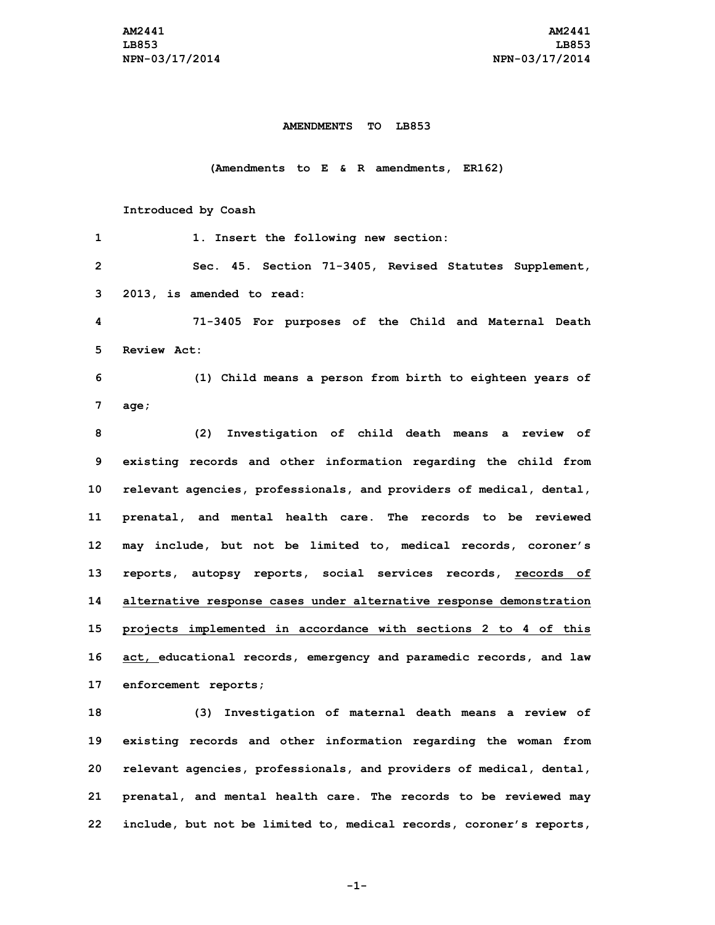## **AMENDMENTS TO LB853**

## **(Amendments to E & R amendments, ER162)**

## **Introduced by Coash**

| 1            | 1. Insert the following new section:                                |
|--------------|---------------------------------------------------------------------|
| $\mathbf{2}$ | Sec. 45. Section 71-3405, Revised Statutes Supplement,              |
| 3            | 2013, is amended to read:                                           |
| 4            | 71-3405 For purposes of the Child and Maternal Death                |
| 5            | Review Act:                                                         |
| 6            | (1) Child means a person from birth to eighteen years of            |
| 7            | aqe;                                                                |
| 8            | (2)<br>Investigation of child death means a review of               |
| 9            | existing records and other information regarding the child from     |
| 10           | relevant agencies, professionals, and providers of medical, dental, |
| 11           | prenatal, and mental health care. The records to be reviewed        |
| 12           | may include, but not be limited to, medical records, coroner's      |
| 13           | reports, autopsy reports, social services records, records of       |
| 14           | alternative response cases under alternative response demonstration |
| 15           | projects implemented in accordance with sections 2 to 4 of this     |
| 16           | act, educational records, emergency and paramedic records, and law  |
| 17           | enforcement reports;                                                |
| 18           | (3) Investigation of maternal death means a review of               |
| 19           | existing records and other information regarding the woman from     |
| 20           | relevant agencies, professionals, and providers of medical, dental, |
| 21           | prenatal, and mental health care. The records to be reviewed may    |
| 22           | include, but not be limited to, medical records, coroner's reports, |

**-1-**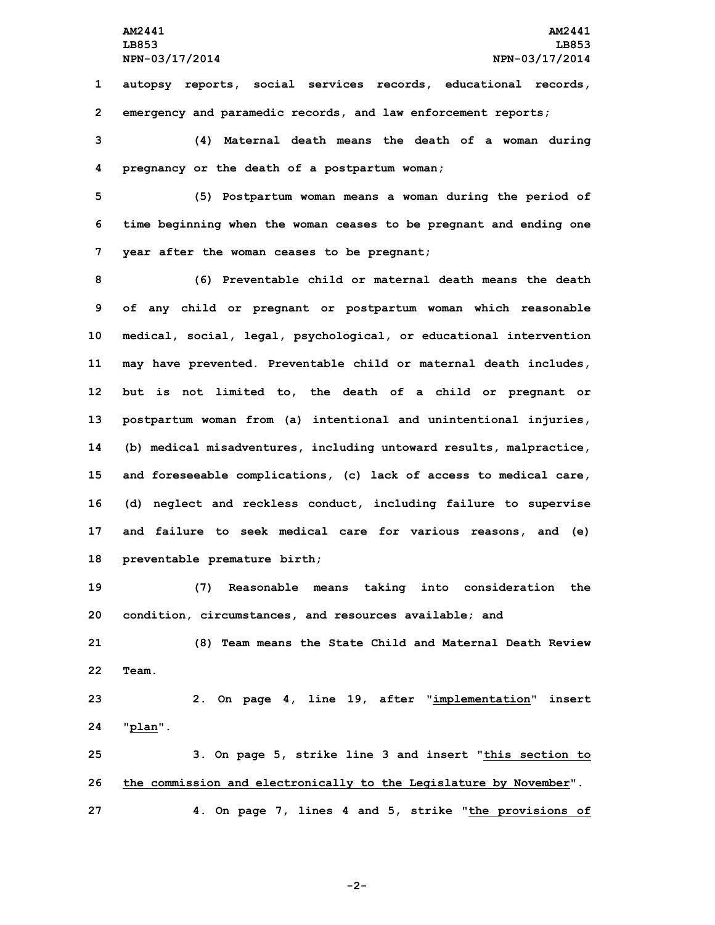**1 autopsy reports, social services records, educational records, 2 emergency and paramedic records, and law enforcement reports;**

**3 (4) Maternal death means the death of <sup>a</sup> woman during 4 pregnancy or the death of <sup>a</sup> postpartum woman;**

**5 (5) Postpartum woman means <sup>a</sup> woman during the period of 6 time beginning when the woman ceases to be pregnant and ending one 7 year after the woman ceases to be pregnant;**

 **(6) Preventable child or maternal death means the death of any child or pregnant or postpartum woman which reasonable medical, social, legal, psychological, or educational intervention may have prevented. Preventable child or maternal death includes, but is not limited to, the death of <sup>a</sup> child or pregnant or postpartum woman from (a) intentional and unintentional injuries, (b) medical misadventures, including untoward results, malpractice, and foreseeable complications, (c) lack of access to medical care, (d) neglect and reckless conduct, including failure to supervise and failure to seek medical care for various reasons, and (e) preventable premature birth;**

**19 (7) Reasonable means taking into consideration the 20 condition, circumstances, and resources available; and**

**21 (8) Team means the State Child and Maternal Death Review 22 Team.**

**23 2. On page 4, line 19, after "implementation" insert 24 "plan".**

**25 3. On page 5, strike line 3 and insert "this section to 26 the commission and electronically to the Legislature by November". 27 4. On page 7, lines 4 and 5, strike "the provisions of**

**-2-**